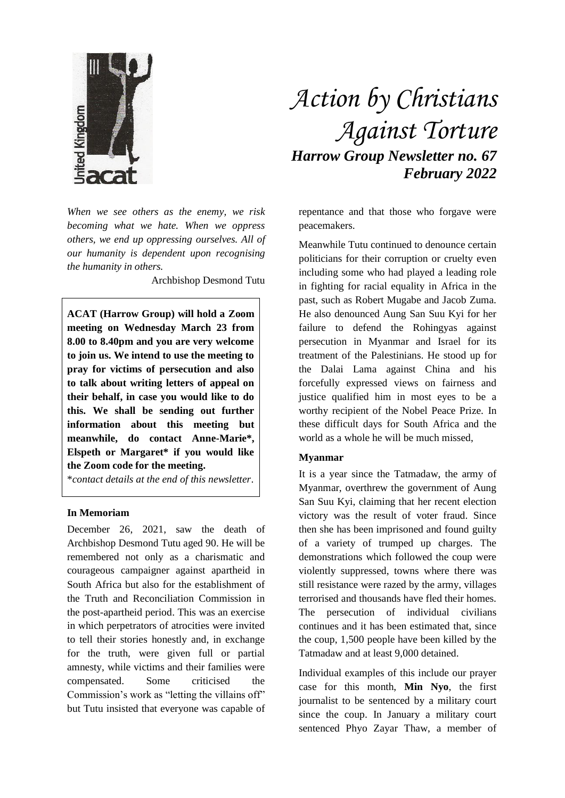

*When we see others as the enemy, we risk becoming what we hate. When we oppress others, we end up oppressing ourselves. All of our humanity is dependent upon recognising the humanity in others.*

Archbishop Desmond Tutu

**ACAT (Harrow Group) will hold a Zoom meeting on Wednesday March 23 from 8.00 to 8.40pm and you are very welcome to join us. We intend to use the meeting to pray for victims of persecution and also to talk about writing letters of appeal on their behalf, in case you would like to do this. We shall be sending out further information about this meeting but meanwhile, do contact Anne-Marie\*, Elspeth or Margaret\* if you would like the Zoom code for the meeting.**

\**contact details at the end of this newsletter*.

## **In Memoriam**

December 26, 2021, saw the death of Archbishop Desmond Tutu aged 90. He will be remembered not only as a charismatic and courageous campaigner against apartheid in South Africa but also for the establishment of the Truth and Reconciliation Commission in the post-apartheid period. This was an exercise in which perpetrators of atrocities were invited to tell their stories honestly and, in exchange for the truth, were given full or partial amnesty, while victims and their families were compensated. Some criticised the Commission's work as "letting the villains off" but Tutu insisted that everyone was capable of

## *Action by Christians Against Torture Harrow Group Newsletter no. 67 February 2022*

repentance and that those who forgave were peacemakers.

Meanwhile Tutu continued to denounce certain politicians for their corruption or cruelty even including some who had played a leading role in fighting for racial equality in Africa in the past, such as Robert Mugabe and Jacob Zuma. He also denounced Aung San Suu Kyi for her failure to defend the Rohingyas against persecution in Myanmar and Israel for its treatment of the Palestinians. He stood up for the Dalai Lama against China and his forcefully expressed views on fairness and justice qualified him in most eyes to be a worthy recipient of the Nobel Peace Prize. In these difficult days for South Africa and the world as a whole he will be much missed,

## **Myanmar**

It is a year since the Tatmadaw, the army of Myanmar, overthrew the government of Aung San Suu Kyi, claiming that her recent election victory was the result of voter fraud. Since then she has been imprisoned and found guilty of a variety of trumped up charges. The demonstrations which followed the coup were violently suppressed, towns where there was still resistance were razed by the army, villages terrorised and thousands have fled their homes. The persecution of individual civilians continues and it has been estimated that, since the coup, 1,500 people have been killed by the Tatmadaw and at least 9,000 detained.

Individual examples of this include our prayer case for this month, **Min Nyo**, the first journalist to be sentenced by a military court since the coup. In January a military court sentenced Phyo Zayar Thaw, a member of